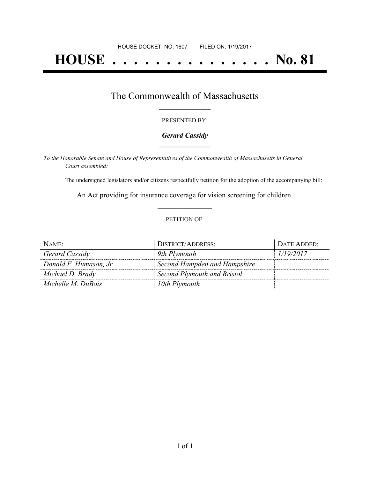# **HOUSE . . . . . . . . . . . . . . . No. 81**

## The Commonwealth of Massachusetts **\_\_\_\_\_\_\_\_\_\_\_\_\_\_\_\_\_**

#### PRESENTED BY:

#### *Gerard Cassidy* **\_\_\_\_\_\_\_\_\_\_\_\_\_\_\_\_\_**

*To the Honorable Senate and House of Representatives of the Commonwealth of Massachusetts in General Court assembled:*

The undersigned legislators and/or citizens respectfully petition for the adoption of the accompanying bill:

An Act providing for insurance coverage for vision screening for children. **\_\_\_\_\_\_\_\_\_\_\_\_\_\_\_**

#### PETITION OF:

| NAME:                  | <b>DISTRICT/ADDRESS:</b>     | DATE ADDED: |
|------------------------|------------------------------|-------------|
| Gerard Cassidy         | 9th Plymouth                 | 1/19/2017   |
| Donald F. Humason, Jr. | Second Hampden and Hampshire |             |
| Michael D. Brady       | Second Plymouth and Bristol  |             |
| Michelle M. DuBois     | 10th Plymouth                |             |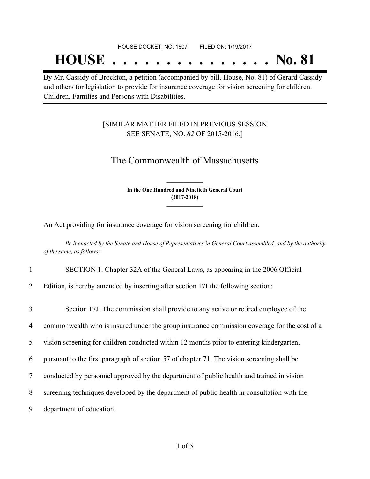#### HOUSE DOCKET, NO. 1607 FILED ON: 1/19/2017

## **HOUSE . . . . . . . . . . . . . . . No. 81**

By Mr. Cassidy of Brockton, a petition (accompanied by bill, House, No. 81) of Gerard Cassidy and others for legislation to provide for insurance coverage for vision screening for children. Children, Families and Persons with Disabilities.

### [SIMILAR MATTER FILED IN PREVIOUS SESSION SEE SENATE, NO. *82* OF 2015-2016.]

## The Commonwealth of Massachusetts

**In the One Hundred and Ninetieth General Court (2017-2018) \_\_\_\_\_\_\_\_\_\_\_\_\_\_\_**

**\_\_\_\_\_\_\_\_\_\_\_\_\_\_\_**

An Act providing for insurance coverage for vision screening for children.

Be it enacted by the Senate and House of Representatives in General Court assembled, and by the authority *of the same, as follows:*

1 SECTION 1. Chapter 32A of the General Laws, as appearing in the 2006 Official

2 Edition, is hereby amended by inserting after section 17I the following section:

 Section 17J. The commission shall provide to any active or retired employee of the commonwealth who is insured under the group insurance commission coverage for the cost of a vision screening for children conducted within 12 months prior to entering kindergarten, pursuant to the first paragraph of section 57 of chapter 71. The vision screening shall be conducted by personnel approved by the department of public health and trained in vision screening techniques developed by the department of public health in consultation with the department of education.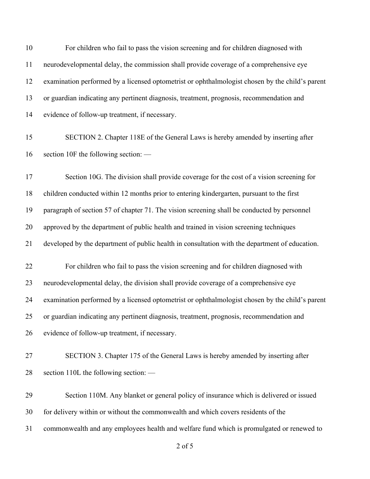| 10 | For children who fail to pass the vision screening and for children diagnosed with              |
|----|-------------------------------------------------------------------------------------------------|
| 11 | neurodevelopmental delay, the commission shall provide coverage of a comprehensive eye          |
| 12 | examination performed by a licensed optometrist or ophthalmologist chosen by the child's parent |
| 13 | or guardian indicating any pertinent diagnosis, treatment, prognosis, recommendation and        |
| 14 | evidence of follow-up treatment, if necessary.                                                  |
| 15 | SECTION 2. Chapter 118E of the General Laws is hereby amended by inserting after                |
| 16 | section 10F the following section: —                                                            |
| 17 | Section 10G. The division shall provide coverage for the cost of a vision screening for         |
| 18 | children conducted within 12 months prior to entering kindergarten, pursuant to the first       |
| 19 | paragraph of section 57 of chapter 71. The vision screening shall be conducted by personnel     |
| 20 | approved by the department of public health and trained in vision screening techniques          |
| 21 | developed by the department of public health in consultation with the department of education.  |
| 22 | For children who fail to pass the vision screening and for children diagnosed with              |
| 23 | neurodevelopmental delay, the division shall provide coverage of a comprehensive eye            |
| 24 | examination performed by a licensed optometrist or ophthalmologist chosen by the child's parent |
| 25 | or guardian indicating any pertinent diagnosis, treatment, prognosis, recommendation and        |
| 26 | evidence of follow-up treatment, if necessary.                                                  |
| 27 | SECTION 3. Chapter 175 of the General Laws is hereby amended by inserting after                 |
| 28 | section 110L the following section: —                                                           |
| 29 | Section 110M. Any blanket or general policy of insurance which is delivered or issued           |
| 30 | for delivery within or without the commonwealth and which covers residents of the               |
| 31 | commonwealth and any employees health and welfare fund which is promulgated or renewed to       |

of 5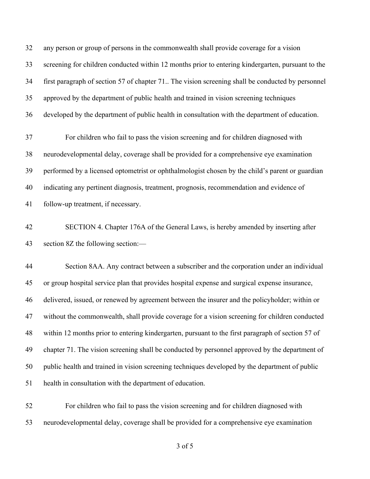any person or group of persons in the commonwealth shall provide coverage for a vision screening for children conducted within 12 months prior to entering kindergarten, pursuant to the first paragraph of section 57 of chapter 71.. The vision screening shall be conducted by personnel approved by the department of public health and trained in vision screening techniques developed by the department of public health in consultation with the department of education.

 For children who fail to pass the vision screening and for children diagnosed with neurodevelopmental delay, coverage shall be provided for a comprehensive eye examination performed by a licensed optometrist or ophthalmologist chosen by the child's parent or guardian indicating any pertinent diagnosis, treatment, prognosis, recommendation and evidence of follow-up treatment, if necessary.

 SECTION 4. Chapter 176A of the General Laws, is hereby amended by inserting after section 8Z the following section:—

 Section 8AA. Any contract between a subscriber and the corporation under an individual or group hospital service plan that provides hospital expense and surgical expense insurance, delivered, issued, or renewed by agreement between the insurer and the policyholder; within or without the commonwealth, shall provide coverage for a vision screening for children conducted within 12 months prior to entering kindergarten, pursuant to the first paragraph of section 57 of chapter 71. The vision screening shall be conducted by personnel approved by the department of public health and trained in vision screening techniques developed by the department of public health in consultation with the department of education.

 For children who fail to pass the vision screening and for children diagnosed with neurodevelopmental delay, coverage shall be provided for a comprehensive eye examination

of 5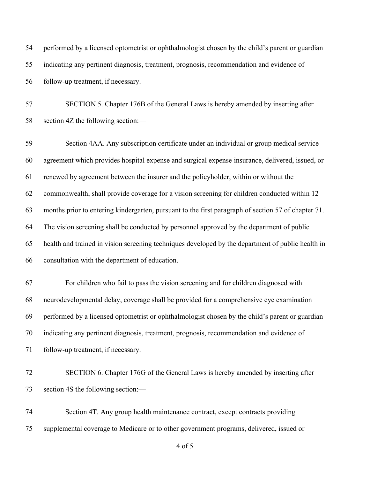performed by a licensed optometrist or ophthalmologist chosen by the child's parent or guardian indicating any pertinent diagnosis, treatment, prognosis, recommendation and evidence of follow-up treatment, if necessary.

 SECTION 5. Chapter 176B of the General Laws is hereby amended by inserting after section 4Z the following section:—

 Section 4AA. Any subscription certificate under an individual or group medical service agreement which provides hospital expense and surgical expense insurance, delivered, issued, or renewed by agreement between the insurer and the policyholder, within or without the commonwealth, shall provide coverage for a vision screening for children conducted within 12 months prior to entering kindergarten, pursuant to the first paragraph of section 57 of chapter 71. The vision screening shall be conducted by personnel approved by the department of public health and trained in vision screening techniques developed by the department of public health in consultation with the department of education.

 For children who fail to pass the vision screening and for children diagnosed with neurodevelopmental delay, coverage shall be provided for a comprehensive eye examination performed by a licensed optometrist or ophthalmologist chosen by the child's parent or guardian indicating any pertinent diagnosis, treatment, prognosis, recommendation and evidence of follow-up treatment, if necessary.

 SECTION 6. Chapter 176G of the General Laws is hereby amended by inserting after section 4S the following section:—

 Section 4T. Any group health maintenance contract, except contracts providing supplemental coverage to Medicare or to other government programs, delivered, issued or

of 5